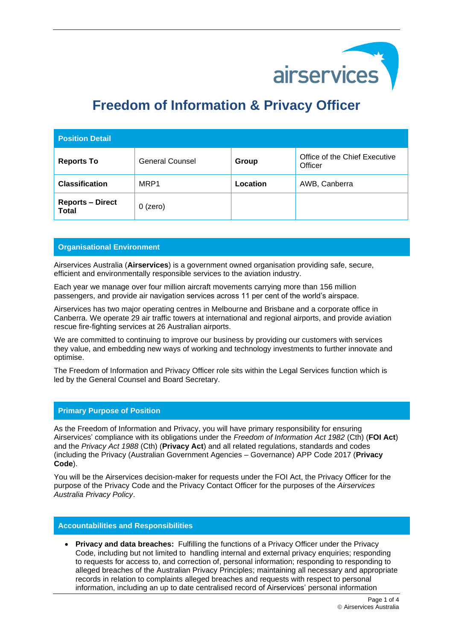

# **Freedom of Information & Privacy Officer**

| <b>Position Detail</b>                  |                        |          |                                          |
|-----------------------------------------|------------------------|----------|------------------------------------------|
| <b>Reports To</b>                       | <b>General Counsel</b> | Group    | Office of the Chief Executive<br>Officer |
| <b>Classification</b>                   | MRP1                   | Location | AWB, Canberra                            |
| <b>Reports - Direct</b><br><b>Total</b> | $0$ (zero)             |          |                                          |

## **Organisational Environment**

Airservices Australia (**Airservices**) is a government owned organisation providing safe, secure, efficient and environmentally responsible services to the aviation industry.

Each year we manage over four million aircraft movements carrying more than 156 million passengers, and provide air navigation services across 11 per cent of the world's airspace.

Airservices has two major operating centres in Melbourne and Brisbane and a corporate office in Canberra. We operate 29 air traffic towers at international and regional airports, and provide aviation rescue fire-fighting services at 26 Australian airports.

We are committed to continuing to improve our business by providing our customers with services they value, and embedding new ways of working and technology investments to further innovate and optimise.

The Freedom of Information and Privacy Officer role sits within the Legal Services function which is led by the General Counsel and Board Secretary.

## **Primary Purpose of Position**

As the Freedom of Information and Privacy, you will have primary responsibility for ensuring Airservices' compliance with its obligations under the *Freedom of Information Act 1982* (Cth) (**FOI Act**) and the *Privacy Act 1988* (Cth) (**Privacy Act**) and all related regulations, standards and codes (including the Privacy (Australian Government Agencies – Governance) APP Code 2017 (**Privacy Code**).

You will be the Airservices decision-maker for requests under the FOI Act, the Privacy Officer for the purpose of the Privacy Code and the Privacy Contact Officer for the purposes of the *Airservices Australia Privacy Policy*.

#### **Accountabilities and Responsibilities**

• **Privacy and data breaches:** Fulfilling the functions of a Privacy Officer under the Privacy Code, including but not limited to handling internal and external privacy enquiries; responding to requests for access to, and correction of, personal information; responding to responding to alleged breaches of the Australian Privacy Principles; maintaining all necessary and appropriate records in relation to complaints alleged breaches and requests with respect to personal information, including an up to date centralised record of Airservices' personal information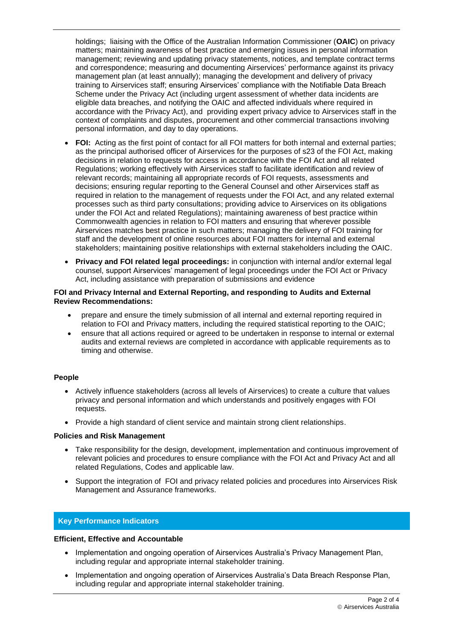holdings; liaising with the Office of the Australian Information Commissioner (**OAIC**) on privacy matters; maintaining awareness of best practice and emerging issues in personal information management; reviewing and updating privacy statements, notices, and template contract terms and correspondence; measuring and documenting Airservices' performance against its privacy management plan (at least annually); managing the development and delivery of privacy training to Airservices staff; ensuring Airservices' compliance with the Notifiable Data Breach Scheme under the Privacy Act (including urgent assessment of whether data incidents are eligible data breaches, and notifying the OAIC and affected individuals where required in accordance with the Privacy Act), and providing expert privacy advice to Airservices staff in the context of complaints and disputes, procurement and other commercial transactions involving personal information, and day to day operations.

- **FOI:** Acting as the first point of contact for all FOI matters for both internal and external parties; as the principal authorised officer of Airservices for the purposes of s23 of the FOI Act, making decisions in relation to requests for access in accordance with the FOI Act and all related Regulations; working effectively with Airservices staff to facilitate identification and review of relevant records; maintaining all appropriate records of FOI requests, assessments and decisions; ensuring regular reporting to the General Counsel and other Airservices staff as required in relation to the management of requests under the FOI Act, and any related external processes such as third party consultations; providing advice to Airservices on its obligations under the FOI Act and related Regulations); maintaining awareness of best practice within Commonwealth agencies in relation to FOI matters and ensuring that wherever possible Airservices matches best practice in such matters; managing the delivery of FOI training for staff and the development of online resources about FOI matters for internal and external stakeholders; maintaining positive relationships with external stakeholders including the OAIC.
- **Privacy and FOI related legal proceedings:** in conjunction with internal and/or external legal counsel, support Airservices' management of legal proceedings under the FOI Act or Privacy Act, including assistance with preparation of submissions and evidence

#### **FOI and Privacy Internal and External Reporting, and responding to Audits and External Review Recommendations:**

- prepare and ensure the timely submission of all internal and external reporting required in relation to FOI and Privacy matters, including the required statistical reporting to the OAIC;
- ensure that all actions required or agreed to be undertaken in response to internal or external audits and external reviews are completed in accordance with applicable requirements as to timing and otherwise.

## **People**

- Actively influence stakeholders (across all levels of Airservices) to create a culture that values privacy and personal information and which understands and positively engages with FOI requests.
- Provide a high standard of client service and maintain strong client relationships.

## **Policies and Risk Management**

- Take responsibility for the design, development, implementation and continuous improvement of relevant policies and procedures to ensure compliance with the FOI Act and Privacy Act and all related Regulations, Codes and applicable law.
- Support the integration of FOI and privacy related policies and procedures into Airservices Risk Management and Assurance frameworks.

## **Key Performance Indicators**

## **Efficient, Effective and Accountable**

- Implementation and ongoing operation of Airservices Australia's Privacy Management Plan, including regular and appropriate internal stakeholder training.
- Implementation and ongoing operation of Airservices Australia's Data Breach Response Plan, including regular and appropriate internal stakeholder training.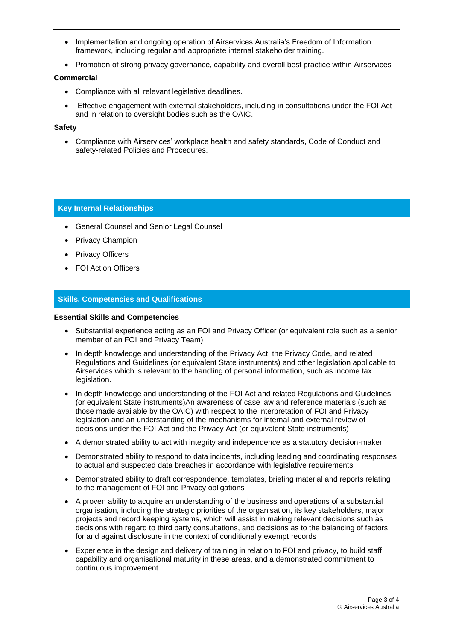- Implementation and ongoing operation of Airservices Australia's Freedom of Information framework, including regular and appropriate internal stakeholder training.
- Promotion of strong privacy governance, capability and overall best practice within Airservices

#### **Commercial**

- Compliance with all relevant legislative deadlines.
- Effective engagement with external stakeholders, including in consultations under the FOI Act and in relation to oversight bodies such as the OAIC.

#### **Safety**

• Compliance with Airservices' workplace health and safety standards, Code of Conduct and safety-related Policies and Procedures.

## **Key Internal Relationships**

- General Counsel and Senior Legal Counsel
- Privacy Champion
- **Privacy Officers**
- FOI Action Officers

## **Skills, Competencies and Qualifications**

#### **Essential Skills and Competencies**

- Substantial experience acting as an FOI and Privacy Officer (or equivalent role such as a senior member of an FOI and Privacy Team)
- In depth knowledge and understanding of the Privacy Act, the Privacy Code, and related Regulations and Guidelines (or equivalent State instruments) and other legislation applicable to Airservices which is relevant to the handling of personal information, such as income tax legislation.
- In depth knowledge and understanding of the FOI Act and related Regulations and Guidelines (or equivalent State instruments)An awareness of case law and reference materials (such as those made available by the OAIC) with respect to the interpretation of FOI and Privacy legislation and an understanding of the mechanisms for internal and external review of decisions under the FOI Act and the Privacy Act (or equivalent State instruments)
- A demonstrated ability to act with integrity and independence as a statutory decision-maker
- Demonstrated ability to respond to data incidents, including leading and coordinating responses to actual and suspected data breaches in accordance with legislative requirements
- Demonstrated ability to draft correspondence, templates, briefing material and reports relating to the management of FOI and Privacy obligations
- A proven ability to acquire an understanding of the business and operations of a substantial organisation, including the strategic priorities of the organisation, its key stakeholders, major projects and record keeping systems, which will assist in making relevant decisions such as decisions with regard to third party consultations, and decisions as to the balancing of factors for and against disclosure in the context of conditionally exempt records
- Experience in the design and delivery of training in relation to FOI and privacy, to build staff capability and organisational maturity in these areas, and a demonstrated commitment to continuous improvement